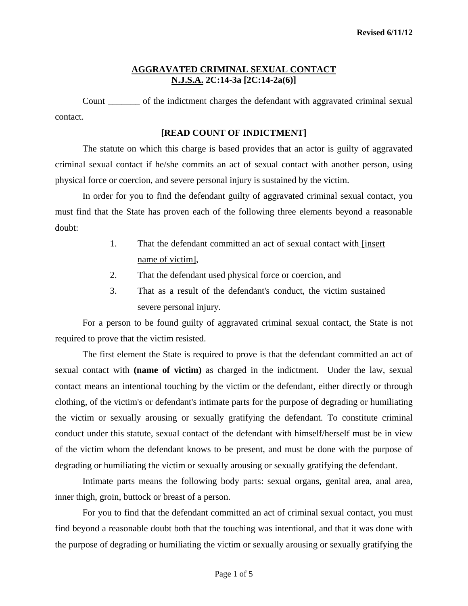#### **AGGRAVATED CRIMINAL SEXUAL CONTACT N.J.S.A. 2C:14-3a [2C:14-2a(6)]**

Count of the indictment charges the defendant with aggravated criminal sexual contact.

#### **[READ COUNT OF INDICTMENT]**

 The statute on which this charge is based provides that an actor is guilty of aggravated criminal sexual contact if he/she commits an act of sexual contact with another person, using physical force or coercion, and severe personal injury is sustained by the victim.

 In order for you to find the defendant guilty of aggravated criminal sexual contact, you must find that the State has proven each of the following three elements beyond a reasonable doubt:

- 1. That the defendant committed an act of sexual contact with [insert name of victim],
- 2. That the defendant used physical force or coercion, and
- 3. That as a result of the defendant's conduct, the victim sustained severe personal injury.

 For a person to be found guilty of aggravated criminal sexual contact, the State is not required to prove that the victim resisted.

 The first element the State is required to prove is that the defendant committed an act of sexual contact with **(name of victim)** as charged in the indictment. Under the law, sexual contact means an intentional touching by the victim or the defendant, either directly or through clothing, of the victim's or defendant's intimate parts for the purpose of degrading or humiliating the victim or sexually arousing or sexually gratifying the defendant. To constitute criminal conduct under this statute, sexual contact of the defendant with himself/herself must be in view of the victim whom the defendant knows to be present, and must be done with the purpose of degrading or humiliating the victim or sexually arousing or sexually gratifying the defendant.

 Intimate parts means the following body parts: sexual organs, genital area, anal area, inner thigh, groin, buttock or breast of a person.

<span id="page-0-0"></span> For you to find that the defendant committed an act of criminal sexual contact, you must find beyond a reasonable doubt both that the touching was intentional, and that it was done with the purpose of degrading or humiliating the victim or sexually arousing or sexually gratifying the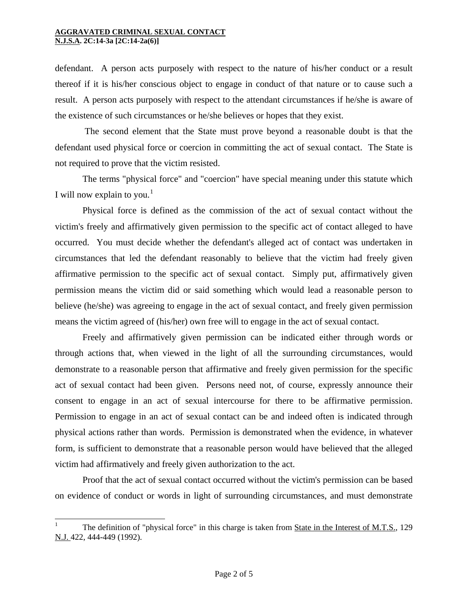$\overline{a}$ 

defendant. A person acts purposely with respect to the nature of his/her conduct or a result thereof if it is his/her conscious object to engage in conduct of that nature or to cause such a result. A person acts purposely with respect to the attendant circumstances if he/she is aware of the existence of such circumstances or he/she believes or hopes that they exist.

 The second element that the State must prove beyond a reasonable doubt is that the defendant used physical force or coercion in committing the act of sexual contact. The State is not required to prove that the victim resisted.

 The terms "physical force" and "coercion" have special meaning under this statute which I will now explain to you.<sup>[1](#page-0-0)</sup>

 Physical force is defined as the commission of the act of sexual contact without the victim's freely and affirmatively given permission to the specific act of contact alleged to have occurred. You must decide whether the defendant's alleged act of contact was undertaken in circumstances that led the defendant reasonably to believe that the victim had freely given affirmative permission to the specific act of sexual contact. Simply put, affirmatively given permission means the victim did or said something which would lead a reasonable person to believe (he/she) was agreeing to engage in the act of sexual contact, and freely given permission means the victim agreed of (his/her) own free will to engage in the act of sexual contact.

 Freely and affirmatively given permission can be indicated either through words or through actions that, when viewed in the light of all the surrounding circumstances, would demonstrate to a reasonable person that affirmative and freely given permission for the specific act of sexual contact had been given. Persons need not, of course, expressly announce their consent to engage in an act of sexual intercourse for there to be affirmative permission. Permission to engage in an act of sexual contact can be and indeed often is indicated through physical actions rather than words. Permission is demonstrated when the evidence, in whatever form, is sufficient to demonstrate that a reasonable person would have believed that the alleged victim had affirmatively and freely given authorization to the act.

 Proof that the act of sexual contact occurred without the victim's permission can be based on evidence of conduct or words in light of surrounding circumstances, and must demonstrate

<span id="page-1-0"></span><sup>1</sup> The definition of "physical force" in this charge is taken from State in the Interest of M.T.S., 129 N.J. 422, 444-449 (1992).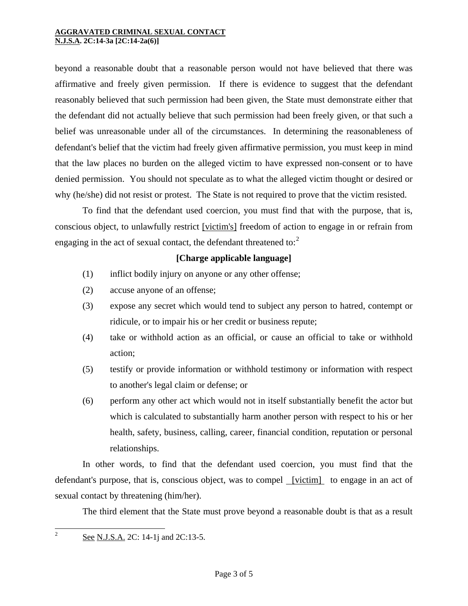beyond a reasonable doubt that a reasonable person would not have believed that there was affirmative and freely given permission. If there is evidence to suggest that the defendant reasonably believed that such permission had been given, the State must demonstrate either that the defendant did not actually believe that such permission had been freely given, or that such a belief was unreasonable under all of the circumstances. In determining the reasonableness of defendant's belief that the victim had freely given affirmative permission, you must keep in mind that the law places no burden on the alleged victim to have expressed non-consent or to have denied permission. You should not speculate as to what the alleged victim thought or desired or why (he/she) did not resist or protest. The State is not required to prove that the victim resisted.

 To find that the defendant used coercion, you must find that with the purpose, that is, conscious object, to unlawfully restrict [victim's] freedom of action to engage in or refrain from engaging in the act of sexual contact, the defendant threatened to: $2$ 

#### **[Charge applicable language]**

- (1) inflict bodily injury on anyone or any other offense;
- (2) accuse anyone of an offense;
- (3) expose any secret which would tend to subject any person to hatred, contempt or ridicule, or to impair his or her credit or business repute;
- (4) take or withhold action as an official, or cause an official to take or withhold action;
- (5) testify or provide information or withhold testimony or information with respect to another's legal claim or defense; or
- (6) perform any other act which would not in itself substantially benefit the actor but which is calculated to substantially harm another person with respect to his or her health, safety, business, calling, career, financial condition, reputation or personal relationships.

<span id="page-2-0"></span> In other words, to find that the defendant used coercion, you must find that the defendant's purpose, that is, conscious object, was to compel [victim] to engage in an act of sexual contact by threatening (him/her).

The third element that the State must prove beyond a reasonable doubt is that as a result

 $\overline{2}$ See N.J.S.A. 2C: 14-1*j* and 2C:13-5.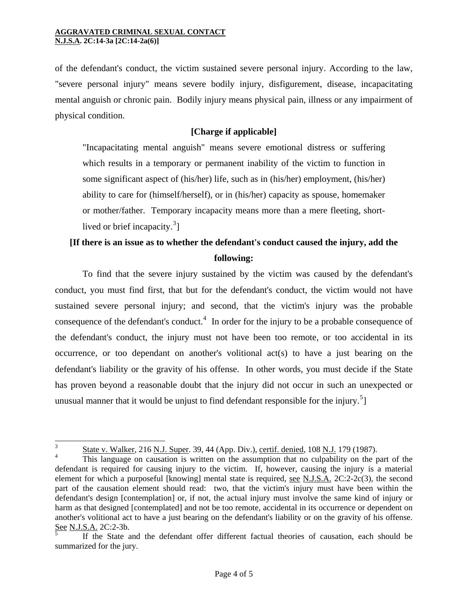of the defendant's conduct, the victim sustained severe personal injury. According to the law, "severe personal injury" means severe bodily injury, disfigurement, disease, incapacitating mental anguish or chronic pain. Bodily injury means physical pain, illness or any impairment of physical condition.

### **[Charge if applicable]**

"Incapacitating mental anguish" means severe emotional distress or suffering which results in a temporary or permanent inability of the victim to function in some significant aspect of (his/her) life, such as in (his/her) employment, (his/her) ability to care for (himself/herself), or in (his/her) capacity as spouse, homemaker or mother/father. Temporary incapacity means more than a mere fleeting, short-lived or brief incapacity.<sup>[3](#page-2-0)</sup>]

## **[If there is an issue as to whether the defendant's conduct caused the injury, add the following:**

 To find that the severe injury sustained by the victim was caused by the defendant's conduct, you must find first, that but for the defendant's conduct, the victim would not have sustained severe personal injury; and second, that the victim's injury was the probable consequence of the defendant's conduct.<sup>[4](#page-3-0)</sup> In order for the injury to be a probable consequence of the defendant's conduct, the injury must not have been too remote, or too accidental in its occurrence, or too dependant on another's volitional act(s) to have a just bearing on the defendant's liability or the gravity of his offense. In other words, you must decide if the State has proven beyond a reasonable doubt that the injury did not occur in such an unexpected or unusual manner that it would be unjust to find defendant responsible for the injury.<sup>[5](#page-3-1)</sup>]

 $\overline{3}$ State v. Walker, 216 N.J. Super. 39, 44 (App. Div.), certif. denied, 108 N.J. 179 (1987).

<span id="page-3-0"></span><sup>4</sup> This language on causation is written on the assumption that no culpability on the part of the defendant is required for causing injury to the victim. If, however, causing the injury is a material element for which a purposeful [knowing] mental state is required, <u>see N.J.S.A.</u> 2C:2-2c(3), the second part of the causation element should read: two, that the victim's injury must have been within the defendant's design [contemplation] or, if not, the actual injury must involve the same kind of injury or harm as that designed [contemplated] and not be too remote, accidental in its occurrence or dependent on another's volitional act to have a just bearing on the defendant's liability or on the gravity of his offense. See N.J.S.A. 2C:2-3b.

<span id="page-3-1"></span><sup>5</sup> If the State and the defendant offer different factual theories of causation, each should be summarized for the jury.